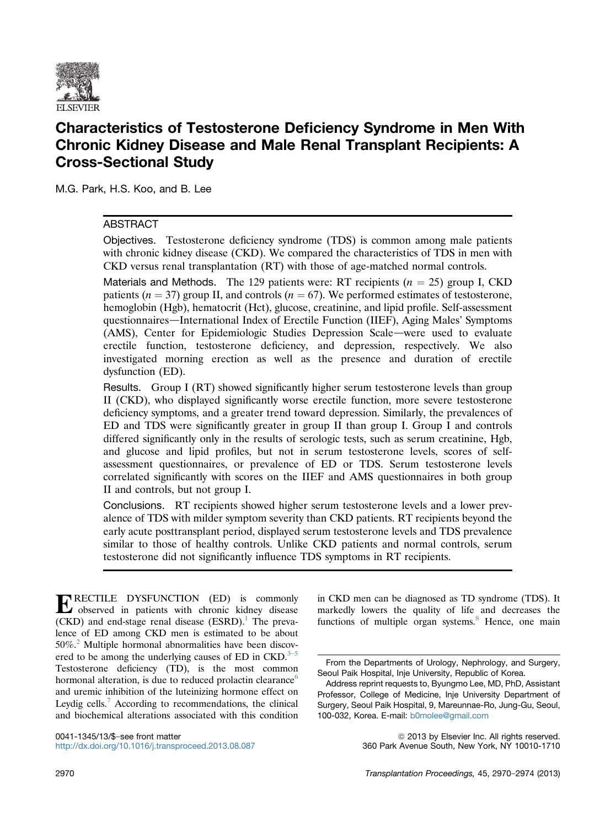

# Characteristics of Testosterone Deficiency Syndrome in Men With Chronic Kidney Disease and Male Renal Transplant Recipients: A Cross-Sectional Study

M.G. Park, H.S. Koo, and B. Lee

# ABSTRACT

Objectives. Testosterone deficiency syndrome (TDS) is common among male patients with chronic kidney disease (CKD). We compared the characteristics of TDS in men with CKD versus renal transplantation (RT) with those of age-matched normal controls.

Materials and Methods. The 129 patients were: RT recipients  $(n = 25)$  group I, CKD patients ( $n = 37$ ) group II, and controls ( $n = 67$ ). We performed estimates of testosterone, hemoglobin (Hgb), hematocrit (Hct), glucose, creatinine, and lipid profile. Self-assessment questionnaires—International Index of Erectile Function (IIEF), Aging Males' Symptoms (AMS), Center for Epidemiologic Studies Depression Scale—were used to evaluate erectile function, testosterone deficiency, and depression, respectively. We also investigated morning erection as well as the presence and duration of erectile dysfunction (ED).

Results. Group I (RT) showed significantly higher serum testosterone levels than group II (CKD), who displayed significantly worse erectile function, more severe testosterone deficiency symptoms, and a greater trend toward depression. Similarly, the prevalences of ED and TDS were significantly greater in group II than group I. Group I and controls differed significantly only in the results of serologic tests, such as serum creatinine, Hgb, and glucose and lipid profiles, but not in serum testosterone levels, scores of selfassessment questionnaires, or prevalence of ED or TDS. Serum testosterone levels correlated significantly with scores on the IIEF and AMS questionnaires in both group II and controls, but not group I.

Conclusions. RT recipients showed higher serum testosterone levels and a lower prevalence of TDS with milder symptom severity than CKD patients. RT recipients beyond the early acute posttransplant period, displayed serum testosterone levels and TDS prevalence similar to those of healthy controls. Unlike CKD patients and normal controls, serum testosterone did not significantly influence TDS symptoms in RT recipients.

ERECTILE DYSFUNCTION (ED) is commonly observed in patients with chronic kidney disease  $(CKD)$  and end-stage renal disease  $(ESRD)$ .<sup>[1](#page-3-0)</sup> The prevalence of ED among CKD men is estimated to be about 50%.[2](#page-4-0) Multiple hormonal abnormalities have been discovered to be among the underlying causes of ED in  $CKD$ .<sup>3-[5](#page-4-0)</sup> Testosterone deficiency (TD), is the most common hormonal alteration, is due to reduced prolactin clearance<sup>[6](#page-4-0)</sup> and uremic inhibition of the luteinizing hormone effect on Leydig cells.<sup>[7](#page-4-0)</sup> According to recommendations, the clinical and biochemical alterations associated with this condition

0041-1345/13/\$-see front matter <http://dx.doi.org/10.1016/j.transproceed.2013.08.087> in CKD men can be diagnosed as TD syndrome (TDS). It markedly lowers the quality of life and decreases the functions of multiple organ systems.<sup>[8](#page-4-0)</sup> Hence, one main

© 2013 by Elsevier Inc. All rights reserved. 360 Park Avenue South, New York, NY 10010-1710

From the Departments of Urology, Nephrology, and Surgery, Seoul Paik Hospital, Inje University, Republic of Korea.

Address reprint requests to, Byungmo Lee, MD, PhD, Assistant Professor, College of Medicine, Inje University Department of Surgery, Seoul Paik Hospital, 9, Mareunnae-Ro, Jung-Gu, Seoul, 100-032, Korea. E-mail: [b0molee@gmail.com](mailto:b0molee@gmail.com)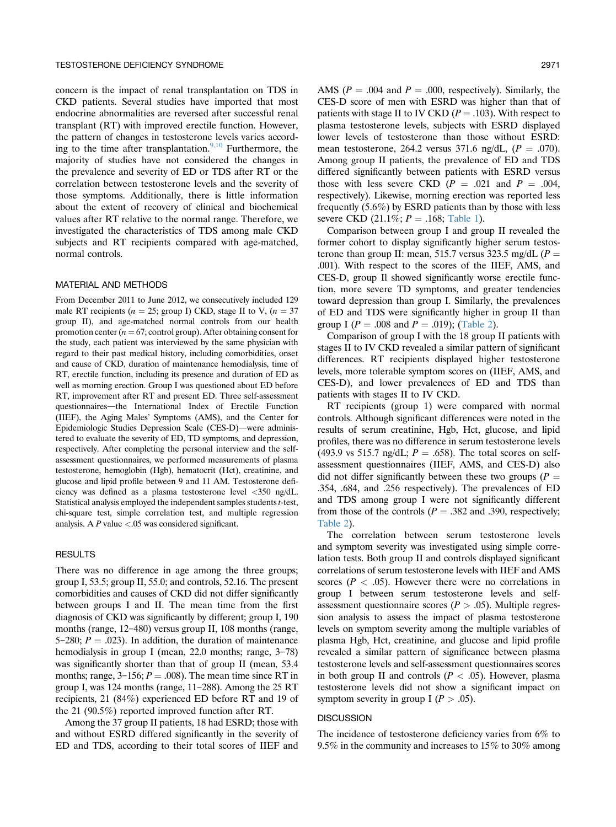concern is the impact of renal transplantation on TDS in CKD patients. Several studies have imported that most endocrine abnormalities are reversed after successful renal transplant (RT) with improved erectile function. However, the pattern of changes in testosterone levels varies accord-ing to the time after transplantation.<sup>[9,10](#page-4-0)</sup> Furthermore, the majority of studies have not considered the changes in the prevalence and severity of ED or TDS after RT or the correlation between testosterone levels and the severity of those symptoms. Additionally, there is little information about the extent of recovery of clinical and biochemical values after RT relative to the normal range. Therefore, we investigated the characteristics of TDS among male CKD subjects and RT recipients compared with age-matched, normal controls.

## MATERIAL AND METHODS

From December 2011 to June 2012, we consecutively included 129 male RT recipients ( $n = 25$ ; group I) CKD, stage II to V, ( $n = 37$ ) group II), and age-matched normal controls from our health promotion center ( $n = 67$ ; control group). After obtaining consent for the study, each patient was interviewed by the same physician with regard to their past medical history, including comorbidities, onset and cause of CKD, duration of maintenance hemodialysis, time of RT, erectile function, including its presence and duration of ED as well as morning erection. Group I was questioned about ED before RT, improvement after RT and present ED. Three self-assessment questionnaires-the International Index of Erectile Function (IIEF), the Aging Males' Symptoms (AMS), and the Center for Epidemiologic Studies Depression Scale (CES-D)-were administered to evaluate the severity of ED, TD symptoms, and depression, respectively. After completing the personal interview and the selfassessment questionnaires, we performed measurements of plasma testosterone, hemoglobin (Hgb), hematocrit (Hct), creatinine, and glucose and lipid profile between 9 and 11 AM. Testosterone deficiency was defined as a plasma testosterone level <350 ng/dL. Statistical analysis employed the independent samples students t-test, chi-square test, simple correlation test, and multiple regression analysis. A  $P$  value  $\lt$  0.05 was considered significant.

#### RESULTS

There was no difference in age among the three groups; group I, 53.5; group II, 55.0; and controls, 52.16. The present comorbidities and causes of CKD did not differ significantly between groups I and II. The mean time from the first diagnosis of CKD was significantly by different; group I, 190 months (range,  $12-480$ ) versus group II,  $108$  months (range, 5-280;  $P = .023$ ). In addition, the duration of maintenance hemodialysis in group I (mean,  $22.0$  months; range,  $3-78$ ) was significantly shorter than that of group II (mean, 53.4 months; range,  $3-156$ ;  $P = .008$ ). The mean time since RT in group I, was 124 months (range,  $11-288$ ). Among the 25 RT recipients, 21 (84%) experienced ED before RT and 19 of the 21 (90.5%) reported improved function after RT.

Among the 37 group II patients, 18 had ESRD; those with and without ESRD differed significantly in the severity of ED and TDS, according to their total scores of IIEF and

AMS ( $P = .004$  and  $P = .000$ , respectively). Similarly, the CES-D score of men with ESRD was higher than that of patients with stage II to IV CKD ( $P = .103$ ). With respect to plasma testosterone levels, subjects with ESRD displayed lower levels of testosterone than those without ESRD: mean testosterone, 264.2 versus 371.6 ng/dL,  $(P = .070)$ . Among group II patients, the prevalence of ED and TDS differed significantly between patients with ESRD versus those with less severe CKD  $(P = .021$  and  $P = .004$ , respectively). Likewise, morning erection was reported less frequently (5.6%) by ESRD patients than by those with less severe CKD (21.1%;  $P = .168$ ; [Table 1](#page-2-0)).

Comparison between group I and group II revealed the former cohort to display significantly higher serum testosterone than group II: mean, 515.7 versus 323.5 mg/dL ( $P =$ .001). With respect to the scores of the IIEF, AMS, and CES-D, group Il showed significantly worse erectile function, more severe TD symptoms, and greater tendencies toward depression than group I. Similarly, the prevalences of ED and TDS were significantly higher in group II than group I ( $P = .008$  and  $P = .019$ ); ([Table 2\)](#page-3-0).

Comparison of group I with the 18 group II patients with stages II to IV CKD revealed a similar pattern of significant differences. RT recipients displayed higher testosterone levels, more tolerable symptom scores on (IIEF, AMS, and CES-D), and lower prevalences of ED and TDS than patients with stages II to IV CKD.

RT recipients (group 1) were compared with normal controls. Although significant differences were noted in the results of serum creatinine, Hgb, Hct, glucose, and lipid profiles, there was no difference in serum testosterone levels (493.9 vs 515.7 ng/dL;  $P = .658$ ). The total scores on selfassessment questionnaires (IIEF, AMS, and CES-D) also did not differ significantly between these two groups ( $P =$ .354, .684, and .256 respectively). The prevalences of ED and TDS among group I were not significantly different from those of the controls ( $P = .382$  and .390, respectively; [Table 2](#page-3-0)).

The correlation between serum testosterone levels and symptom severity was investigated using simple correlation tests. Both group II and controls displayed significant correlations of serum testosterone levels with IIEF and AMS scores ( $P < .05$ ). However there were no correlations in group I between serum testosterone levels and selfassessment questionnaire scores ( $P > .05$ ). Multiple regression analysis to assess the impact of plasma testosterone levels on symptom severity among the multiple variables of plasma Hgb, Hct, creatinine, and glucose and lipid profile revealed a similar pattern of significance between plasma testosterone levels and self-assessment questionnaires scores in both group II and controls  $(P < .05)$ . However, plasma testosterone levels did not show a significant impact on symptom severity in group I ( $P > .05$ ).

### **DISCUSSION**

The incidence of testosterone deficiency varies from 6% to 9.5% in the community and increases to 15% to 30% among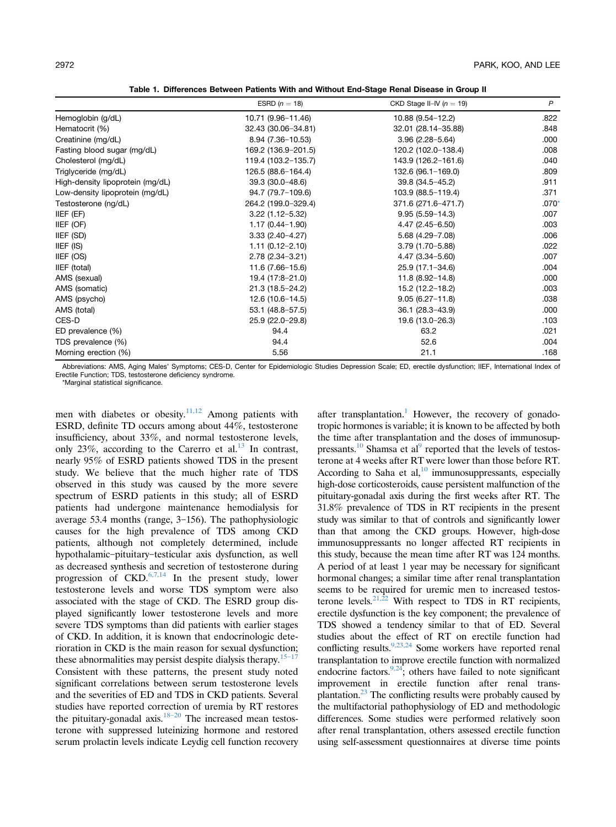Table 1. Differences Between Patients With and Without End-Stage Renal Disease in Group II

<span id="page-2-0"></span>

|                                  | ESRD $(n = 18)$      | CKD Stage II-IV $(n = 19)$ | $\mathsf{P}$ |
|----------------------------------|----------------------|----------------------------|--------------|
| Hemoglobin (g/dL)                | 10.71 (9.96-11.46)   | 10.88 (9.54-12.2)          | .822         |
| Hematocrit (%)                   | 32.43 (30.06-34.81)  | 32.01 (28.14-35.88)        | .848         |
| Creatinine (mg/dL)               | $8.94(7.36 - 10.53)$ | $3.96(2.28 - 5.64)$        | .000         |
| Fasting blood sugar (mg/dL)      | 169.2 (136.9-201.5)  | 120.2 (102.0-138.4)        | .008         |
| Cholesterol (mg/dL)              | 119.4 (103.2-135.7)  | 143.9 (126.2-161.6)        | .040         |
| Triglyceride (mg/dL)             | 126.5 (88.6-164.4)   | 132.6 (96.1-169.0)         | .809         |
| High-density lipoprotein (mg/dL) | $39.3(30.0 - 48.6)$  | 39.8 (34.5-45.2)           | .911         |
| Low-density lipoprotein (mg/dL)  | 94.7 (79.7-109.6)    | 103.9 (88.5-119.4)         | .371         |
| Testosterone (ng/dL)             | 264.2 (199.0-329.4)  | 371.6 (271.6-471.7)        | $.070*$      |
| IIEF (EF)                        | $3.22(1.12 - 5.32)$  | $9.95(5.59 - 14.3)$        | .007         |
| IIEF (OF)                        | $1.17(0.44 - 1.90)$  | 4.47 (2.45-6.50)           | .003         |
| IIEF (SD)                        | $3.33(2.40-4.27)$    | $5.68(4.29 - 7.08)$        | .006         |
| IIEF (IS)                        | $1.11(0.12 - 2.10)$  | $3.79(1.70 - 5.88)$        | .022         |
| IIEF (OS)                        | 2.78 (2.34-3.21)     | $4.47(3.34 - 5.60)$        | .007         |
| IIEF (total)                     | $11.6(7.66 - 15.6)$  | 25.9 (17.1-34.6)           | .004         |
| AMS (sexual)                     | 19.4 (17:8-21.0)     | $11.8(8.92 - 14.8)$        | .000         |
| AMS (somatic)                    | 21.3 (18.5-24.2)     | 15.2 (12.2-18.2)           | .003         |
| AMS (psycho)                     | $12.6(10.6 - 14.5)$  | $9.05(6.27 - 11.8)$        | .038         |
| AMS (total)                      | $53.1 (48.8 - 57.5)$ | 36.1 (28.3-43.9)           | .000         |
| CES-D                            | 25.9 (22.0-29.8)     | 19.6 (13.0-26.3)           | .103         |
| ED prevalence (%)                | 94.4                 | 63.2                       | .021         |
| TDS prevalence (%)               | 94.4                 | 52.6                       | .004         |
| Morning erection (%)             | 5.56                 | 21.1                       | .168         |

Abbreviations: AMS, Aging Males' Symptoms; CES-D, Center for Epidemiologic Studies Depression Scale; ED, erectile dysfunction; IIEF, International Index of Erectile Function; TDS, testosterone deficiency syndrome.

\*Marginal statistical significance.

men with diabetes or obesity. $11,12$  Among patients with ESRD, definite TD occurs among about 44%, testosterone insufficiency, about 33%, and normal testosterone levels, only 23%, according to the Carerro et al.<sup>13</sup> In contrast, nearly 95% of ESRD patients showed TDS in the present study. We believe that the much higher rate of TDS observed in this study was caused by the more severe spectrum of ESRD patients in this study; all of ESRD patients had undergone maintenance hemodialysis for average 53.4 months (range,  $3-156$ ). The pathophysiologic causes for the high prevalence of TDS among CKD patients, although not completely determined, include hypothalamic-pituitary-testicular axis dysfunction, as well as decreased synthesis and secretion of testosterone during progression of  $CKD$ .<sup>[6,7,14](#page-4-0)</sup> In the present study, lower testosterone levels and worse TDS symptom were also associated with the stage of CKD. The ESRD group displayed significantly lower testosterone levels and more severe TDS symptoms than did patients with earlier stages of CKD. In addition, it is known that endocrinologic deterioration in CKD is the main reason for sexual dysfunction; these abnormalities may persist despite dialysis therapy.<sup>[15](#page-4-0)-17</sup> Consistent with these patterns, the present study noted significant correlations between serum testosterone levels and the severities of ED and TDS in CKD patients. Several studies have reported correction of uremia by RT restores the pituitary-gonadal axis.<sup>[18](#page-4-0)-20</sup> The increased mean testosterone with suppressed luteinizing hormone and restored serum prolactin levels indicate Leydig cell function recovery

after transplantation.<sup>1</sup> However, the recovery of gonadotropic hormones is variable; it is known to be affected by both the time after transplantation and the doses of immunosuppressants.<sup>10</sup> Shamsa et al<sup>9</sup> reported that the levels of testosterone at 4 weeks after RT were lower than those before RT. According to Saha et al, $^{10}$  immunosuppressants, especially high-dose corticosteroids, cause persistent malfunction of the pituitary-gonadal axis during the first weeks after RT. The 31.8% prevalence of TDS in RT recipients in the present study was similar to that of controls and significantly lower than that among the CKD groups. However, high-dose immunosuppressants no longer affected RT recipients in this study, because the mean time after RT was 124 months. A period of at least 1 year may be necessary for significant hormonal changes; a similar time after renal transplantation seems to be required for uremic men to increased testos-terone levels.<sup>[21,22](#page-4-0)</sup> With respect to TDS in RT recipients, erectile dysfunction is the key component; the prevalence of TDS showed a tendency similar to that of ED. Several studies about the effect of RT on erectile function had conflicting results.<sup>[9,23,24](#page-4-0)</sup> Some workers have reported renal transplantation to improve erectile function with normalized endocrine factors.<sup>9,24</sup>; others have failed to note significant improvement in erectile function after renal transplantation[.23](#page-4-0) The conflicting results were probably caused by the multifactorial pathophysiology of ED and methodologic differences. Some studies were performed relatively soon after renal transplantation, others assessed erectile function using self-assessment questionnaires at diverse time points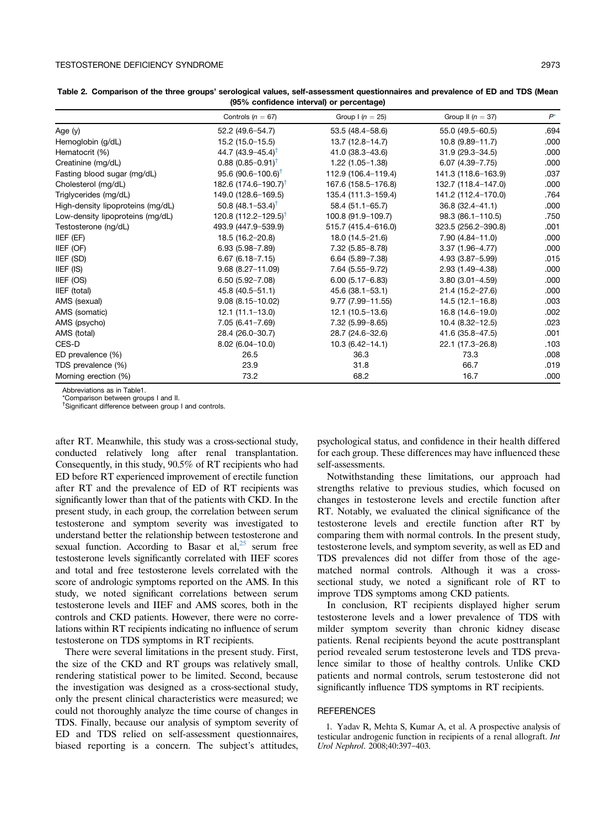$\overline{a}$ 

|                                   | Controls ( $n = 67$ )             | Group $1(n = 25)$    | Group II ( $n = 37$ ) | $P^{\star}$ |  |
|-----------------------------------|-----------------------------------|----------------------|-----------------------|-------------|--|
| Age (y)                           | 52.2 (49.6-54.7)                  | 53.5 (48.4-58.6)     | 55.0 (49.5-60.5)      | .694        |  |
| Hemoglobin (g/dL)                 | 15.2 (15.0-15.5)                  | $13.7(12.8 - 14.7)$  | 10.8 (9.89-11.7)      | .000        |  |
| Hematocrit (%)                    | 44.7 $(43.9 - 45.4)^{\dagger}$    | $41.0(38.3 - 43.6)$  | $31.9(29.3 - 34.5)$   | .000        |  |
| Creatinine (mg/dL)                | $0.88~(0.85 - 0.91)^{\dagger}$    | $1.22(1.05-1.38)$    | $6.07(4.39 - 7.75)$   | .000        |  |
| Fasting blood sugar (mg/dL)       | $95.6 (90.6 - 100.6)^{\dagger}$   | 112.9 (106.4-119.4)  | 141.3 (118.6-163.9)   | .037        |  |
| Cholesterol (mg/dL)               | 182.6 $(174.6 - 190.7)^T$         | 167.6 (158.5-176.8)  | 132.7 (118.4-147.0)   | .000        |  |
| Triglycerides (mg/dL)             | 149.0 (128.6-169.5)               | 135.4 (111.3-159.4)  | 141.2 (112.4-170.0)   | .764        |  |
| High-density lipoproteins (mg/dL) | 50.8 $(48.1 - 53.4)^{\dagger}$    | 58.4 (51.1-65.7)     | $36.8(32.4 - 41.1)$   | .000        |  |
| Low-density lipoproteins (mg/dL)  | 120.8 $(112.2 - 129.5)^{\dagger}$ | 100.8 (91.9-109.7)   | $98.3(86.1 - 110.5)$  | .750        |  |
| Testosterone (ng/dL)              | 493.9 (447.9-539.9)               | 515.7 (415.4-616.0)  | 323.5 (256.2-390.8)   | .001        |  |
| IIEF (EF)                         | 18.5 (16.2-20.8)                  | 18.0 (14.5-21.6)     | $7.90(4.84 - 11.0)$   | .000        |  |
| IIEF (OF)                         | $6.93(5.98 - 7.89)$               | 7.32 (5.85-8.78)     | $3.37(1.96 - 4.77)$   | .000        |  |
| IIEF (SD)                         | $6.67(6.18 - 7.15)$               | $6.64(5.89 - 7.38)$  | $4.93(3.87 - 5.99)$   | .015        |  |
| IIEF (IS)                         | $9.68(8.27 - 11.09)$              | 7.64 (5.55-9.72)     | 2.93 (1.49-4.38)      | .000        |  |
| IIEF (OS)                         | $6.50(5.92 - 7.08)$               | $6.00(5.17 - 6.83)$  | $3.80(3.01 - 4.59)$   | .000        |  |
| IIEF (total)                      | 45.8 (40.5-51.1)                  | 45.6 (38.1-53.1)     | 21.4 (15.2-27.6)      | .000        |  |
| AMS (sexual)                      | $9.08(8.15 - 10.02)$              | $9.77(7.99 - 11.55)$ | $14.5(12.1-16.8)$     | .003        |  |
| AMS (somatic)                     | $12.1(11.1-13.0)$                 | $12.1(10.5-13.6)$    | 16.8 (14.6-19.0)      | .002        |  |
| AMS (psycho)                      | 7.05 (6.41-7.69)                  | 7.32 (5.99-8.65)     | $10.4(8.32 - 12.5)$   | .023        |  |
| AMS (total)                       | 28.4 (26.0-30.7)                  | 28.7 (24.6-32.6)     | 41.6 (35.8-47.5)      | .001        |  |
| CES-D                             | $8.02(6.04 - 10.0)$               | $10.3(6.42 - 14.1)$  | 22.1 (17.3-26.8)      | .103        |  |
| ED prevalence (%)                 | 26.5                              | 36.3                 | 73.3                  | .008        |  |
| TDS prevalence (%)                | 23.9                              | 31.8                 | 66.7                  | .019        |  |
| Morning erection (%)              | 73.2                              | 68.2                 | 16.7                  | .000        |  |

<span id="page-3-0"></span>Table 2. Comparison of the three groups' serological values, self-assessment questionnaires and prevalence of ED and TDS (Mean (95% confidence interval) or percentage)

Abbreviations as in Table1.

\*Comparison between groups I and II.

† Significant difference between group I and controls.

after RT. Meanwhile, this study was a cross-sectional study, conducted relatively long after renal transplantation. Consequently, in this study, 90.5% of RT recipients who had ED before RT experienced improvement of erectile function after RT and the prevalence of ED of RT recipients was significantly lower than that of the patients with CKD. In the present study, in each group, the correlation between serum testosterone and symptom severity was investigated to understand better the relationship between testosterone and sexual function. According to Basar et al,  $^{25}$  $^{25}$  $^{25}$  serum free testosterone levels significantly correlated with IIEF scores and total and free testosterone levels correlated with the score of andrologic symptoms reported on the AMS. In this study, we noted significant correlations between serum testosterone levels and IIEF and AMS scores, both in the controls and CKD patients. However, there were no correlations within RT recipients indicating no influence of serum testosterone on TDS symptoms in RT recipients.

There were several limitations in the present study. First, the size of the CKD and RT groups was relatively small, rendering statistical power to be limited. Second, because the investigation was designed as a cross-sectional study, only the present clinical characteristics were measured; we could not thoroughly analyze the time course of changes in TDS. Finally, because our analysis of symptom severity of ED and TDS relied on self-assessment questionnaires, biased reporting is a concern. The subject's attitudes,

psychological status, and confidence in their health differed for each group. These differences may have influenced these self-assessments.

Notwithstanding these limitations, our approach had strengths relative to previous studies, which focused on changes in testosterone levels and erectile function after RT. Notably, we evaluated the clinical significance of the testosterone levels and erectile function after RT by comparing them with normal controls. In the present study, testosterone levels, and symptom severity, as well as ED and TDS prevalences did not differ from those of the agematched normal controls. Although it was a crosssectional study, we noted a significant role of RT to improve TDS symptoms among CKD patients.

In conclusion, RT recipients displayed higher serum testosterone levels and a lower prevalence of TDS with milder symptom severity than chronic kidney disease patients. Renal recipients beyond the acute posttransplant period revealed serum testosterone levels and TDS prevalence similar to those of healthy controls. Unlike CKD patients and normal controls, serum testosterone did not significantly influence TDS symptoms in RT recipients.

#### **REFERENCES**

1. Yadav R, Mehta S, Kumar A, et al. A prospective analysis of testicular androgenic function in recipients of a renal allograft. Int Urol Nephrol. 2008;40:397-403.